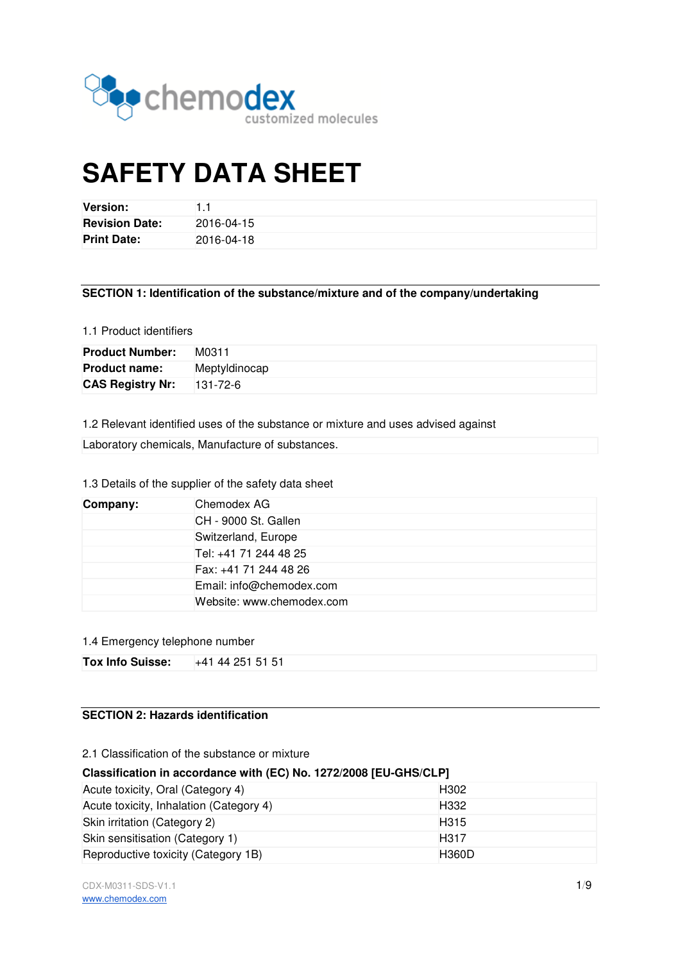

# **SAFETY DATA SHEET**

| <b>Version:</b>       |            |
|-----------------------|------------|
| <b>Revision Date:</b> | 2016-04-15 |
| <b>Print Date:</b>    | 2016-04-18 |

## 1.1 Product identifiers

| <b>Revision Date:</b>   | 2016-04-15                                                                        |
|-------------------------|-----------------------------------------------------------------------------------|
| <b>Print Date:</b>      | 2016-04-18                                                                        |
|                         |                                                                                   |
|                         | SECTION 1: Identification of the substance/mixture and of the company/undertaking |
| 1.1 Product identifiers |                                                                                   |
| <b>Product Number:</b>  | M0311                                                                             |
| <b>Product name:</b>    | Meptyldinocap                                                                     |
| <b>CAS Registry Nr:</b> | 131-72-6                                                                          |
|                         |                                                                                   |
|                         | 1.2 Relevant identified uses of the substance or mixture and uses advised against |
|                         | Laboratory chemicals, Manufacture of substances.                                  |

# 1.3 Details of the supplier of the safety data sheet

| Company: | Chemodex AG               |
|----------|---------------------------|
|          | CH - 9000 St. Gallen      |
|          | Switzerland, Europe       |
|          | Tel: +41 71 244 48 25     |
|          | Fax: +41 71 244 48 26     |
|          | Email: info@chemodex.com  |
|          | Website: www.chemodex.com |

## 1.4 Emergency telephone number

| Tox Info Suisse: | +41 44 251 51 51 |  |
|------------------|------------------|--|
|------------------|------------------|--|

# **SECTION 2: Hazards identification**

2.1 Classification of the substance or mixture

## **Classification in accordance with (EC) No. 1272/2008 [EU [EU-GHS/CLP]**

| Acute toxicity, Oral (Category 4)       | H <sub>302</sub> |
|-----------------------------------------|------------------|
| Acute toxicity, Inhalation (Category 4) | H <sub>332</sub> |
| Skin irritation (Category 2)            | H <sub>315</sub> |
| Skin sensitisation (Category 1)         | H <sub>317</sub> |
| Reproductive toxicity (Category 1B)     | <b>H360D</b>     |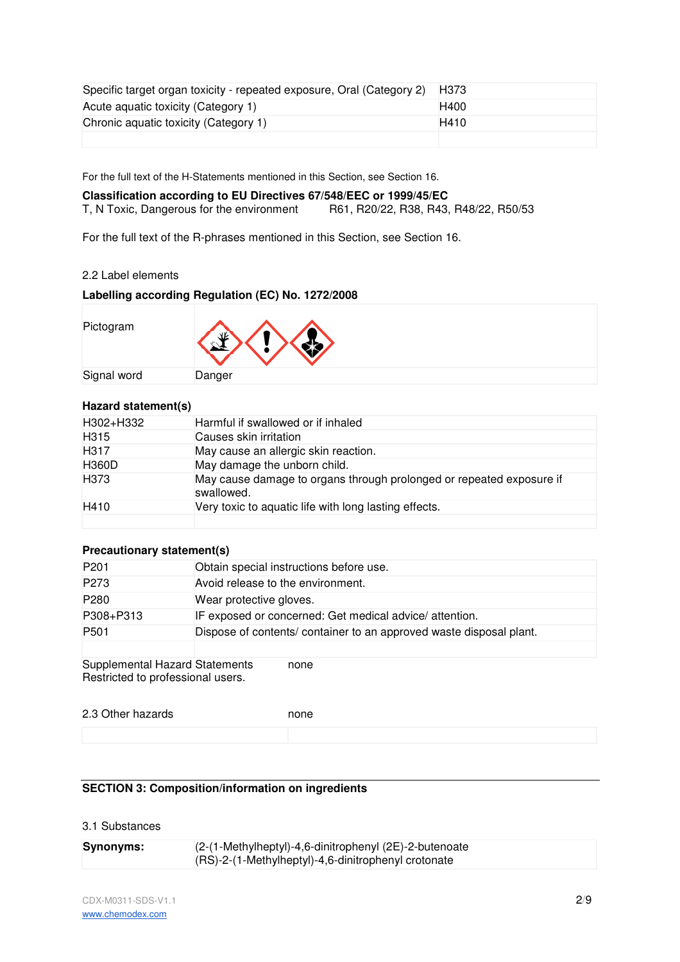| Specific target organ toxicity - repeated exposure, Oral (Category 2) | H373 |
|-----------------------------------------------------------------------|------|
| Acute aquatic toxicity (Category 1)                                   | H400 |
| Chronic aquatic toxicity (Category 1)                                 | H410 |
|                                                                       |      |

For the full text of the H-Statements mentioned in this Section, see Section 16.

# **Classification according to EU Directives 67/548/EEC or 1999/45/EC**  T, N Toxic, Dangerous for the environment R61, R20/22, R38, R43, R48/22, R50/53

For the full text of the R-phrases mentioned in this Section, see Section 16.

# 2.2 Label elements

# **Labelling according Regulation (EC) No. 1272/2008**

| Pictogram   | $\langle \rangle \langle \rangle$ |
|-------------|-----------------------------------|
| Signal word | Danger                            |

# **Hazard statement(s)**

| H302+H332        | Harmful if swallowed or if inhaled                                                 |
|------------------|------------------------------------------------------------------------------------|
| H <sub>315</sub> | Causes skin irritation                                                             |
| H <sub>317</sub> | May cause an allergic skin reaction.                                               |
| <b>H360D</b>     | May damage the unborn child.                                                       |
| H <sub>373</sub> | May cause damage to organs through prolonged or repeated exposure if<br>swallowed. |
| H410             | Very toxic to aquatic life with long lasting effects.                              |
|                  |                                                                                    |

## **Precautionary statement(s)**

| P <sub>201</sub>                                                    | Obtain special instructions before use.                             |
|---------------------------------------------------------------------|---------------------------------------------------------------------|
| P273                                                                | Avoid release to the environment.                                   |
| P <sub>280</sub>                                                    | Wear protective gloves.                                             |
| P308+P313                                                           | IF exposed or concerned: Get medical advice/attention.              |
| P <sub>501</sub>                                                    | Dispose of contents/ container to an approved waste disposal plant. |
|                                                                     |                                                                     |
| Supplemental Hazard Statements<br>Restricted to professional users. | none                                                                |

| 2.3 Other hazards | none |
|-------------------|------|
|                   |      |

# **SECTION 3: Composition/information on ingredients**

# 3.1 Substances

| <b>Synonyms:</b> | (2-(1-Methylheptyl)-4,6-dinitrophenyl (2E)-2-butenoate |
|------------------|--------------------------------------------------------|
|                  | (RS)-2-(1-Methylheptyl)-4,6-dinitrophenyl crotonate    |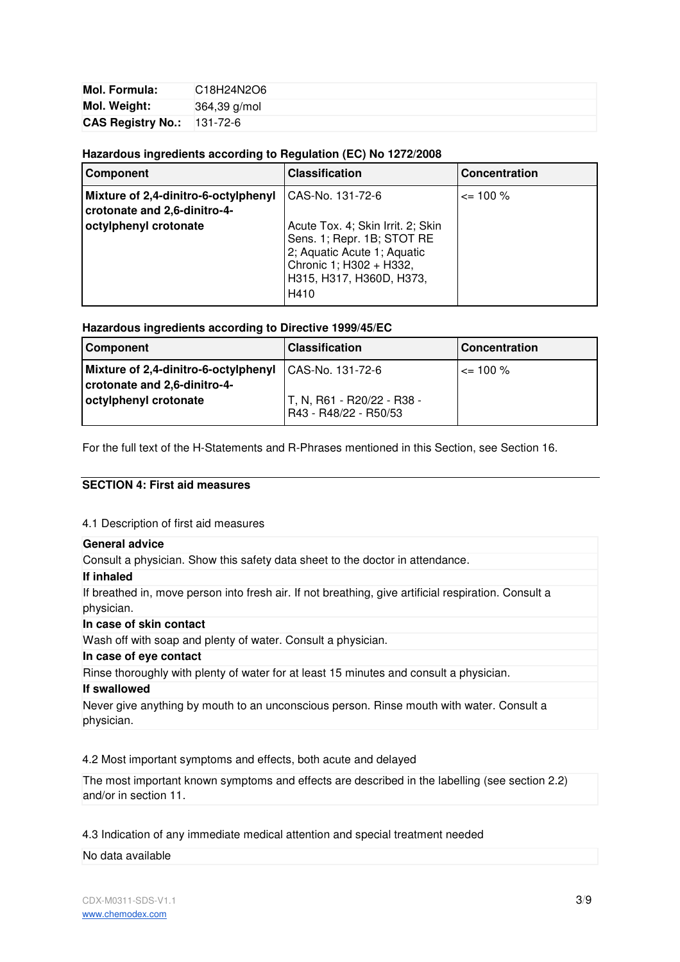| Mol. Formula:              | C18H24N2O6     |
|----------------------------|----------------|
| Mol. Weight:               | $364,39$ g/mol |
| CAS Registry No.: 131-72-6 |                |

# **Hazardous ingredients according to Regulation (EC) No 1272/2008**

| <b>Component</b>                                                     | <b>Classification</b>                                                                                                                                         | <b>Concentration</b> |
|----------------------------------------------------------------------|---------------------------------------------------------------------------------------------------------------------------------------------------------------|----------------------|
| Mixture of 2,4-dinitro-6-octylphenyl<br>crotonate and 2,6-dinitro-4- | CAS-No. 131-72-6                                                                                                                                              | $\leq$ 100 %         |
| octylphenyl crotonate                                                | Acute Tox. 4; Skin Irrit. 2; Skin<br>Sens. 1; Repr. 1B; STOT RE<br>2; Aquatic Acute 1; Aquatic<br>Chronic 1; H302 + H332,<br>H315, H317, H360D, H373,<br>H410 |                      |

**Hazardous ingredients according to Directive 1999/45/EC**

| <b>Component</b>                                                                      | <b>Classification</b>                               | <b>Concentration</b> |
|---------------------------------------------------------------------------------------|-----------------------------------------------------|----------------------|
| Mixture of 2,4-dinitro-6-octylphenyl CAS-No. 131-72-6<br>crotonate and 2,6-dinitro-4- |                                                     | $\leq$ 100 %         |
| octylphenyl crotonate                                                                 | T, N, R61 - R20/22 - R38 -<br>R43 - R48/22 - R50/53 |                      |

For the full text of the H-Statements and R-Phrases mentioned in this Section, see Section 16.

# **SECTION 4: First aid measures**

# 4.1 Description of first aid measures

# **General advice**

Consult a physician. Show this safety data sheet to the doctor in attendance.

#### **If inhaled**

If breathed in, move person into fresh air. If not breathing, give artificial respiration. Consult a physician.

## **In case of skin contact**

Wash off with soap and plenty of water. Consult a physician.

## **In case of eye contact**

Rinse thoroughly with plenty of water for at least 15 minutes and consult a physician.

#### **If swallowed**

Never give anything by mouth to an unconscious person. Rinse mouth with water. Consult a physician.

4.2 Most important symptoms and effects, both acute and delayed

The most important known symptoms and effects are described in the labelling (see section 2.2) and/or in section 11.

4.3 Indication of any immediate medical attention and special treatment needed

No data available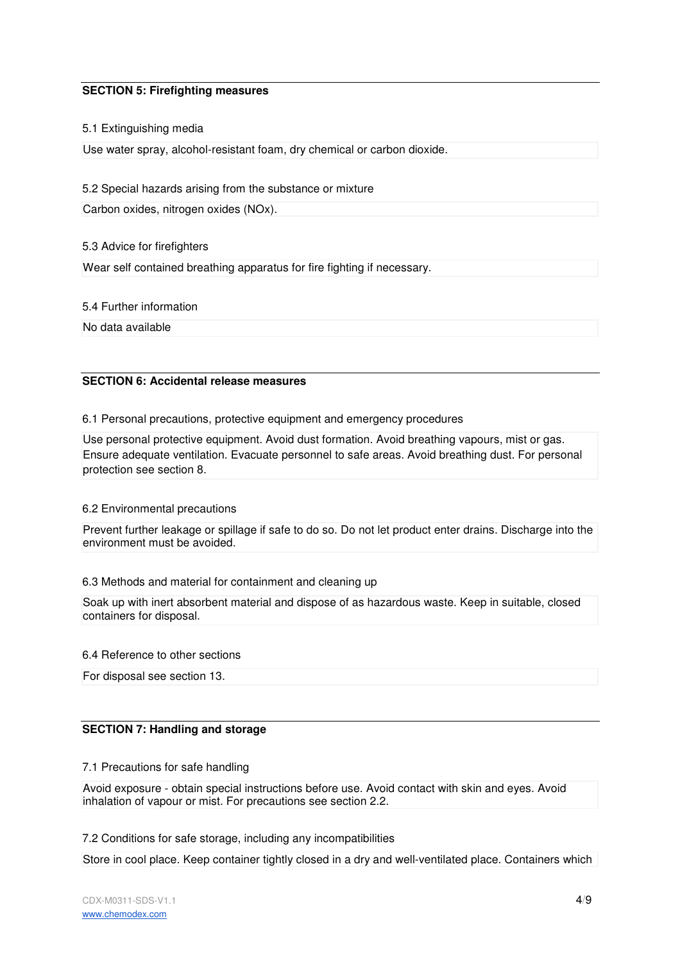# **SECTION 5: Firefighting measures**

## 5.1 Extinguishing media

Use water spray, alcohol-resistant foam, dry chemical or carbon dioxide.

## 5.2 Special hazards arising from the substance or mixture

Carbon oxides, nitrogen oxides (NOx).

## 5.3 Advice for firefighters

Wear self contained breathing apparatus for fire fighting if necessary.

5.4 Further information

No data available

## **SECTION 6: Accidental release measures**

## 6.1 Personal precautions, protective equipment and emergency procedures

Use personal protective equipment. Avoid dust formation. Avoid breathing vapours, mist or gas. Ensure adequate ventilation. Evacuate personnel to safe areas. Avoid breathing dust. For personal protection see section 8.

## 6.2 Environmental precautions

Prevent further leakage or spillage if safe to do so. Do not let product enter drains. Discharge into the environment must be avoided.

# 6.3 Methods and material for containment and cleaning up

Soak up with inert absorbent material and dispose of as hazardous waste. Keep in suitable, closed containers for disposal.

## 6.4 Reference to other sections

For disposal see section 13.

# **SECTION 7: Handling and storage**

7.1 Precautions for safe handling

Avoid exposure - obtain special instructions before use. Avoid contact with skin and eyes. Avoid inhalation of vapour or mist. For precautions see section 2.2.

# 7.2 Conditions for safe storage, including any incompatibilities

Store in cool place. Keep container tightly closed in a dry and well-ventilated place. Containers which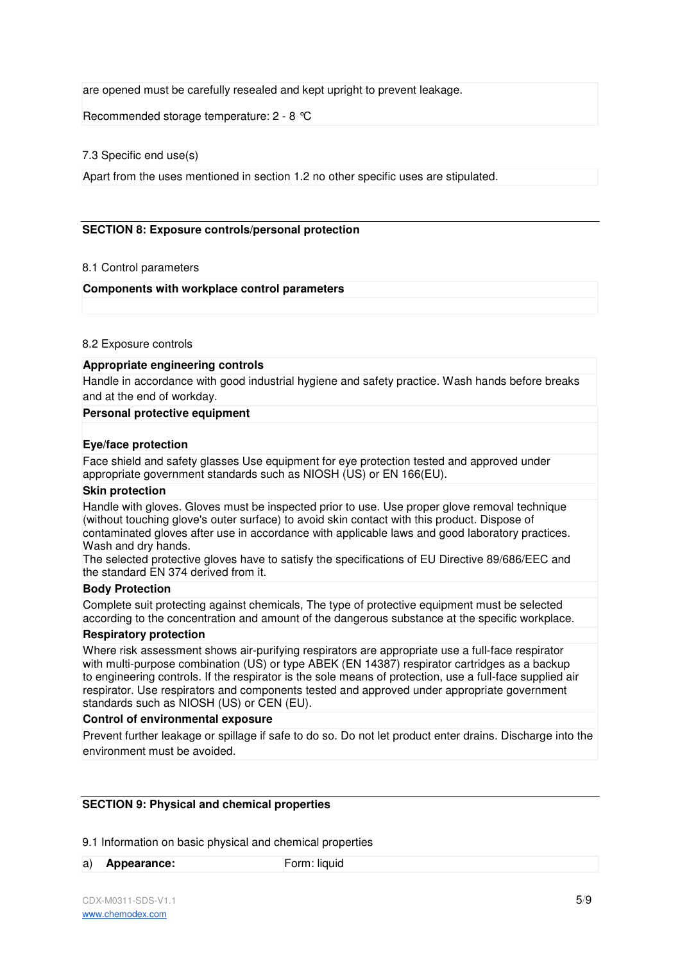are opened must be carefully resealed and kept upright to prevent leakage.

Recommended storage temperature: 2 - 8 °C

## 7.3 Specific end use(s)

Apart from the uses mentioned in section 1.2 no other specific uses are stipulated.

# **SECTION 8: Exposure controls/personal protection**

## 8.1 Control parameters

## **Components with workplace control parameters**

## 8.2 Exposure controls

## **Appropriate engineering controls**

Handle in accordance with good industrial hygiene and safety practice. Wash hands before breaks and at the end of workday.

#### **Personal protective equipment**

## **Eye/face protection**

Face shield and safety glasses Use equipment for eye protection tested and approved under appropriate government standards such as NIOSH (US) or EN 166(EU).

#### **Skin protection**

Handle with gloves. Gloves must be inspected prior to use. Use proper glove removal technique (without touching glove's outer surface) to avoid skin contact with this product. Dispose of contaminated gloves after use in accordance with applicable laws and good laboratory practices. Wash and dry hands.

The selected protective gloves have to satisfy the specifications of EU Directive 89/686/EEC and the standard EN 374 derived from it.

## **Body Protection**

Complete suit protecting against chemicals, The type of protective equipment must be selected according to the concentration and amount of the dangerous substance at the specific workplace.

## **Respiratory protection**

Where risk assessment shows air-purifying respirators are appropriate use a full-face respirator with multi-purpose combination (US) or type ABEK (EN 14387) respirator cartridges as a backup to engineering controls. If the respirator is the sole means of protection, use a full-face supplied air respirator. Use respirators and components tested and approved under appropriate government standards such as NIOSH (US) or CEN (EU).

#### **Control of environmental exposure**

Prevent further leakage or spillage if safe to do so. Do not let product enter drains. Discharge into the environment must be avoided.

## **SECTION 9: Physical and chemical properties**

9.1 Information on basic physical and chemical properties

a) **Appearance: Form: liquid**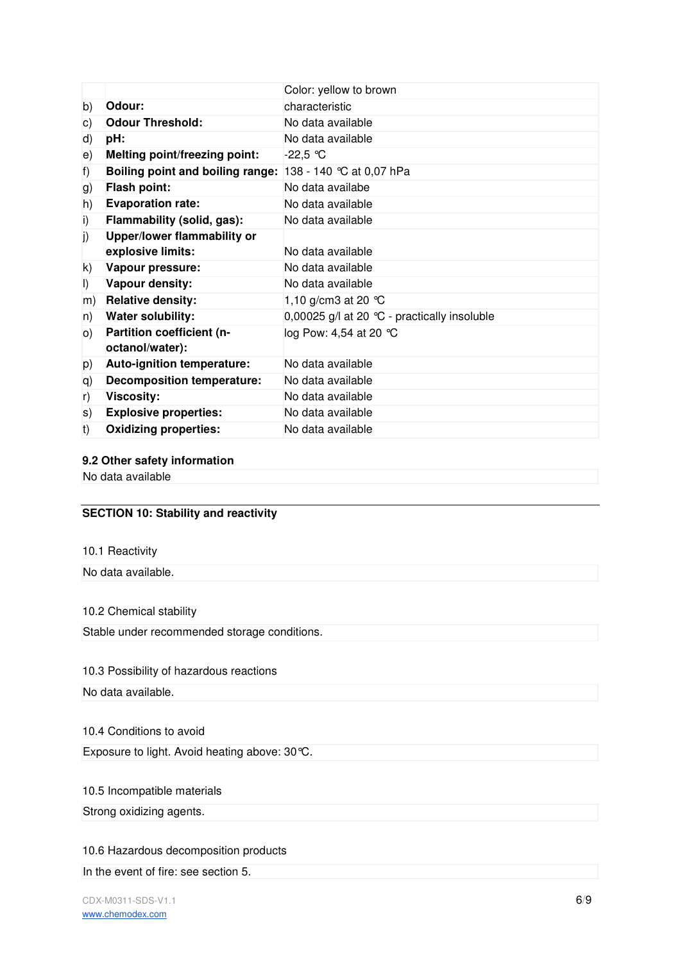|              |                                      | Color: yellow to brown                       |
|--------------|--------------------------------------|----------------------------------------------|
| b)           | Odour:                               | characteristic                               |
| c)           | <b>Odour Threshold:</b>              | No data available                            |
| d)           | pH:                                  | No data available                            |
| e)           | <b>Melting point/freezing point:</b> | $-22,5$ °C                                   |
| f)           | Boiling point and boiling range:     | 138 - 140 °C at 0,07 hPa                     |
| g)           | <b>Flash point:</b>                  | No data availabe                             |
| h)           | <b>Evaporation rate:</b>             | No data available                            |
| $\mathsf{i}$ | Flammability (solid, gas):           | No data available                            |
| j)           | Upper/lower flammability or          |                                              |
|              | explosive limits:                    | No data available                            |
| k)           | Vapour pressure:                     | No data available                            |
| $\vert$      | Vapour density:                      | No data available                            |
| m)           | <b>Relative density:</b>             | 1,10 g/cm3 at 20 $^{\circ}$ C                |
| n)           | <b>Water solubility:</b>             | 0,00025 g/l at 20 °C - practically insoluble |
| O)           | Partition coefficient (n-            | log Pow: 4,54 at 20 ℃                        |
|              | octanol/water):                      |                                              |
| p)           | Auto-ignition temperature:           | No data available                            |
| q)           | <b>Decomposition temperature:</b>    | No data available                            |
| r)           | <b>Viscosity:</b>                    | No data available                            |
| s)           | <b>Explosive properties:</b>         | No data available                            |
| t)           | <b>Oxidizing properties:</b>         | No data available                            |

# **9.2 Other safety information**

No data available

# **SECTION 10: Stability and reactivity**

10.1 Reactivity

No data available.

# 10.2 Chemical stability

Stable under recommended storage conditions.

# 10.3 Possibility of hazardous reactions

No data available.

# 10.4 Conditions to avoid

Exposure to light. Avoid heating above: 30°C.

# 10.5 Incompatible materials

Strong oxidizing agents.

# 10.6 Hazardous decomposition products

In the event of fire: see section 5.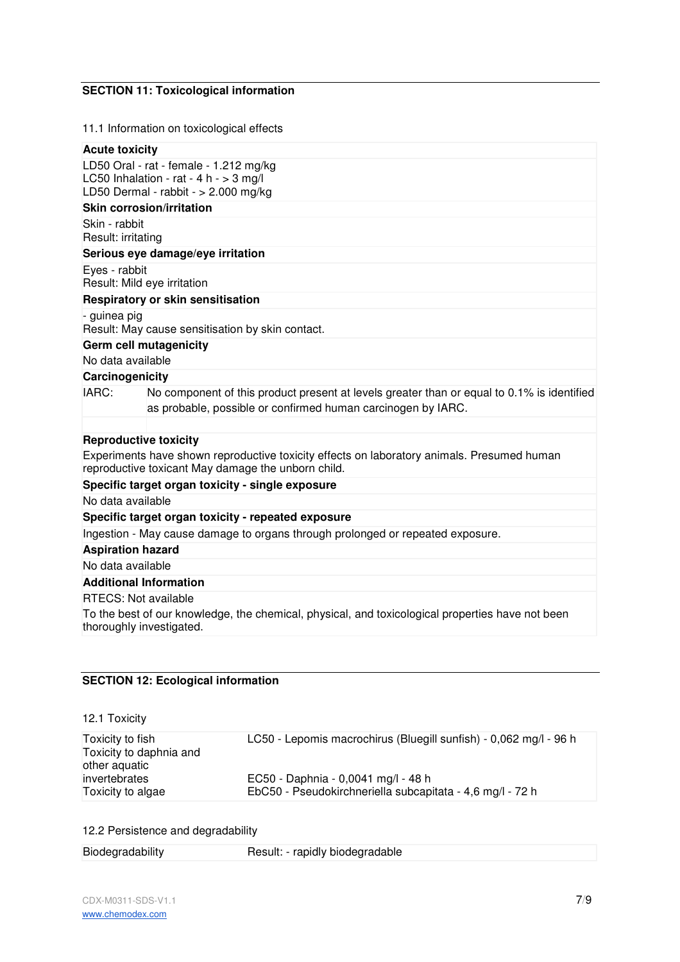# **SECTION 11: Toxicological information**

## 11.1 Information on toxicological effects

#### **Acute toxicity**

LD50 Oral - rat - female - 1.212 mg/kg LC50 Inhalation - rat - 4 h -  $>$  3 mg/l LD50 Dermal - rabbit - > 2.000 mg/kg

# **Skin corrosion/irritation**

Skin - rabbit Result: irritating

## **Serious eye damage/eye irritation**

Eyes - rabbit Result: Mild eye irritation

## **Respiratory or skin sensitisation**

- guinea pig

Result: May cause sensitisation by skin contact.

# **Germ cell mutagenicity**

No data available

# **Carcinogenicity**

IARC: No component of this product present at levels greater than or equal to 0.1% is identified as probable, possible or confirmed human carcinogen by IARC.

## **Reproductive toxicity**

Experiments have shown reproductive toxicity effects on laboratory animals. Presumed human reproductive toxicant May damage the unborn child.

# **Specific target organ toxicity - single exposure**

No data available

# **Specific target organ toxicity - repeated exposure**

Ingestion - May cause damage to organs through prolonged or repeated exposure.

# **Aspiration hazard**

No data available

# **Additional Information**

## RTECS: Not available

To the best of our knowledge, the chemical, physical, and toxicological properties have not been thoroughly investigated.

# **SECTION 12: Ecological information**

## 12.1 Toxicity

| Toxicity to fish<br>Toxicity to daphnia and<br>other aquatic | LC50 - Lepomis macrochirus (Bluegill sunfish) - 0,062 mg/l - 96 h |
|--------------------------------------------------------------|-------------------------------------------------------------------|
| invertebrates                                                | EC50 - Daphnia - 0,0041 mg/l - 48 h                               |
| Toxicity to algae                                            | EbC50 - Pseudokirchneriella subcapitata - 4,6 mg/l - 72 h         |

# 12.2 Persistence and degradability

| Biodegradability | Result: - rapidly biodegradable |  |
|------------------|---------------------------------|--|
|------------------|---------------------------------|--|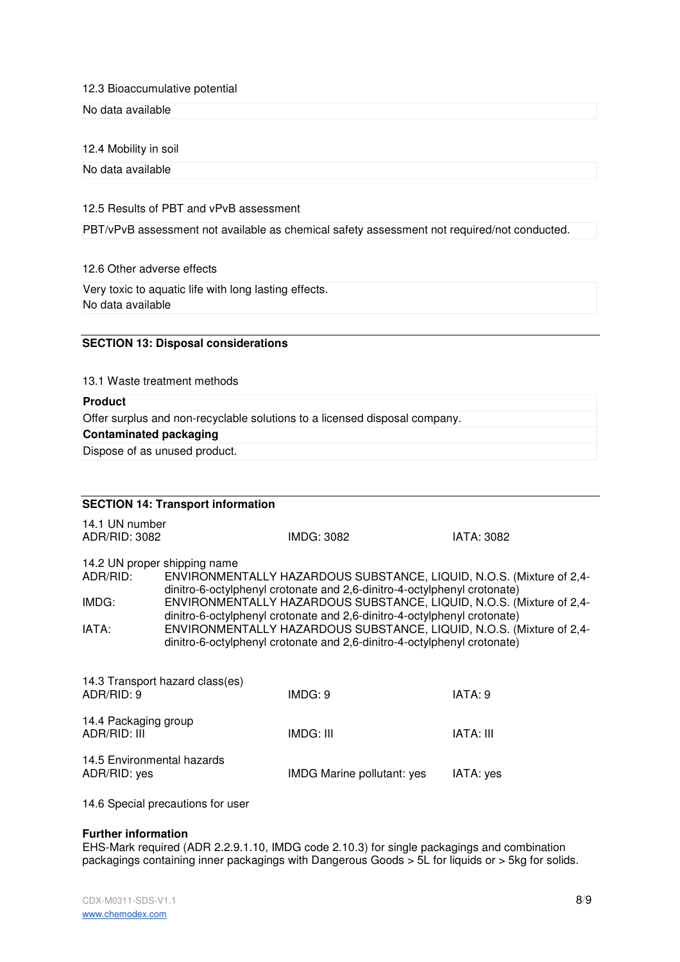## 12.3 Bioaccumulative potential

## No data available

## 12.4 Mobility in soil

No data available

## 12.5 Results of PBT and vPvB assessment

PBT/vPvB assessment not available as chemical safety assessment not required/not conducted.

#### 12.6 Other adverse effects

Very toxic to aquatic life with long lasting effects. No data available

## **SECTION 13: Disposal considerations**

13.1 Waste treatment methods

# **Product**

Offer surplus and non-recyclable solutions to a licensed disposal company.

# **Contaminated packaging**

Dispose of as unused product.

|                                                            | <b>SECTION 14: Transport information</b> |                                                                                                                                                                                                                                                                                                                                                                                                                                                          |                   |
|------------------------------------------------------------|------------------------------------------|----------------------------------------------------------------------------------------------------------------------------------------------------------------------------------------------------------------------------------------------------------------------------------------------------------------------------------------------------------------------------------------------------------------------------------------------------------|-------------------|
| 14.1 UN number<br>ADR/RID: 3082                            |                                          | IMDG: 3082                                                                                                                                                                                                                                                                                                                                                                                                                                               | <b>IATA: 3082</b> |
| 14.2 UN proper shipping name<br>ADR/RID:<br>IMDG:<br>IATA: |                                          | ENVIRONMENTALLY HAZARDOUS SUBSTANCE, LIQUID, N.O.S. (Mixture of 2,4-<br>dinitro-6-octylphenyl crotonate and 2,6-dinitro-4-octylphenyl crotonate)<br>ENVIRONMENTALLY HAZARDOUS SUBSTANCE, LIQUID, N.O.S. (Mixture of 2,4-<br>dinitro-6-octylphenyl crotonate and 2,6-dinitro-4-octylphenyl crotonate)<br>ENVIRONMENTALLY HAZARDOUS SUBSTANCE, LIQUID, N.O.S. (Mixture of 2,4-<br>dinitro-6-octylphenyl crotonate and 2,6-dinitro-4-octylphenyl crotonate) |                   |
| ADR/RID: 9                                                 | 14.3 Transport hazard class(es)          | IMDG: 9                                                                                                                                                                                                                                                                                                                                                                                                                                                  | IATA: 9           |
| 14.4 Packaging group<br>ADR/RID: III                       |                                          | IMDG: III                                                                                                                                                                                                                                                                                                                                                                                                                                                | <b>IATA: III</b>  |
| 14.5 Environmental hazards<br>ADR/RID: yes                 |                                          | <b>IMDG Marine pollutant: yes</b>                                                                                                                                                                                                                                                                                                                                                                                                                        | IATA: yes         |

14.6 Special precautions for user

# **Further information**

EHS-Mark required (ADR 2.2.9.1.10, IMDG code 2.10.3) for single packagings and combination packagings containing inner packagings with Dangerous Goods > 5L for liquids or > 5kg for solids.